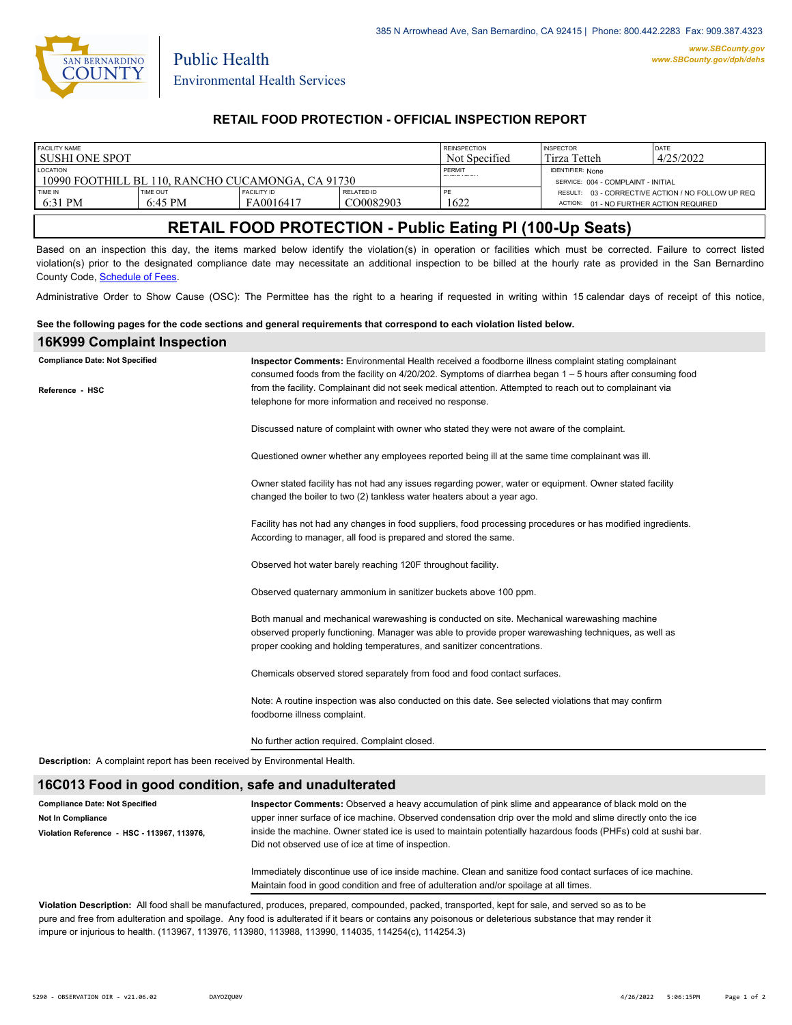

Public Health

### **RETAIL FOOD PROTECTION - OFFICIAL INSPECTION REPORT**

| FACILITY NAME<br>l sushi one spot                                     |                               |                                 |                                | <b>REINSPECTION</b><br>Not Specified | <b>INSPECTOR</b><br>Tirza Tetteh                              | DATE<br>4/25/2022                                 |
|-----------------------------------------------------------------------|-------------------------------|---------------------------------|--------------------------------|--------------------------------------|---------------------------------------------------------------|---------------------------------------------------|
| <b>LOCATION</b><br>-10990 FOOTHILL BL 110, RANCHO CUCAMONGA, CA 91730 |                               |                                 |                                | PERMIT                               | <b>IDENTIFIER: None</b><br>SERVICE: 004 - COMPLAINT - INITIAL |                                                   |
| <b>TIME IN</b><br>6:31 PM                                             | TIME OUT<br>$6:45 \text{ PM}$ | <b>FACILITY ID</b><br>FA0016417 | <b>RELATED ID</b><br>CO0082903 | 1622                                 | ACTION: 01 - NO FURTHER ACTION REQUIRED                       | RESULT: 03 - CORRECTIVE ACTION / NO FOLLOW UP REQ |

# **RETAIL FOOD PROTECTION - Public Eating Pl (100-Up Seats)**

Based on an inspection this day, the items marked below identify the violation(s) in operation or facilities which must be corrected. Failure to correct listed violation(s) prior to the designated compliance date may necessitate an additional inspection to be billed at the hourly rate as provided in the San Bernardino County Code, Schedule of Fees.

Administrative Order to Show Cause (OSC): The Permittee has the right to a hearing if requested in writing within 15 calendar days of receipt of this notice,

#### **See the following pages for the code sections and general requirements that correspond to each violation listed below.**

| <b>16K999 Complaint Inspection</b>                                                |                                                                                                                                                                                                                                                                               |  |  |  |  |
|-----------------------------------------------------------------------------------|-------------------------------------------------------------------------------------------------------------------------------------------------------------------------------------------------------------------------------------------------------------------------------|--|--|--|--|
| <b>Compliance Date: Not Specified</b>                                             | Inspector Comments: Environmental Health received a foodborne illness complaint stating complainant<br>consumed foods from the facility on $4/20/202$ . Symptoms of diarrhea began $1-5$ hours after consuming food                                                           |  |  |  |  |
| Reference - HSC                                                                   | from the facility. Complainant did not seek medical attention. Attempted to reach out to complainant via<br>telephone for more information and received no response.                                                                                                          |  |  |  |  |
|                                                                                   | Discussed nature of complaint with owner who stated they were not aware of the complaint.                                                                                                                                                                                     |  |  |  |  |
|                                                                                   | Questioned owner whether any employees reported being ill at the same time complainant was ill.                                                                                                                                                                               |  |  |  |  |
|                                                                                   | Owner stated facility has not had any issues regarding power, water or equipment. Owner stated facility<br>changed the boiler to two (2) tankless water heaters about a year ago.                                                                                             |  |  |  |  |
|                                                                                   | Facility has not had any changes in food suppliers, food processing procedures or has modified ingredients.<br>According to manager, all food is prepared and stored the same.                                                                                                |  |  |  |  |
|                                                                                   | Observed hot water barely reaching 120F throughout facility.                                                                                                                                                                                                                  |  |  |  |  |
|                                                                                   | Observed quaternary ammonium in sanitizer buckets above 100 ppm.                                                                                                                                                                                                              |  |  |  |  |
|                                                                                   | Both manual and mechanical warewashing is conducted on site. Mechanical warewashing machine<br>observed properly functioning. Manager was able to provide proper warewashing techniques, as well as<br>proper cooking and holding temperatures, and sanitizer concentrations. |  |  |  |  |
|                                                                                   | Chemicals observed stored separately from food and food contact surfaces.                                                                                                                                                                                                     |  |  |  |  |
|                                                                                   | Note: A routine inspection was also conducted on this date. See selected violations that may confirm<br>foodborne illness complaint.                                                                                                                                          |  |  |  |  |
|                                                                                   | No further action required. Complaint closed.                                                                                                                                                                                                                                 |  |  |  |  |
| <b>Description:</b> A complaint report has been received by Environmental Health. |                                                                                                                                                                                                                                                                               |  |  |  |  |
| 16C013 Food in good condition, safe and unadulterated                             |                                                                                                                                                                                                                                                                               |  |  |  |  |
| <b>Compliance Date: Not Specified</b><br><b>Not In Compliance</b>                 | Inspector Comments: Observed a heavy accumulation of pink slime and appearance of black mold on the<br>upper inner surface of ice machine. Observed condensation drip over the mold and slime directly onto the ice                                                           |  |  |  |  |

Immediately discontinue use of ice inside machine. Clean and sanitize food contact surfaces of ice machine. Maintain food in good condition and free of adulteration and/or spoilage at all times.

inside the machine. Owner stated ice is used to maintain potentially hazardous foods (PHFs) cold at sushi bar.

**Violation Description:** All food shall be manufactured, produces, prepared, compounded, packed, transported, kept for sale, and served so as to be pure and free from adulteration and spoilage. Any food is adulterated if it bears or contains any poisonous or deleterious substance that may render it impure or injurious to health. (113967, 113976, 113980, 113988, 113990, 114035, 114254(c), 114254.3)

Did not observed use of ice at time of inspection.

**Violation Reference - HSC - 113967, 113976,**